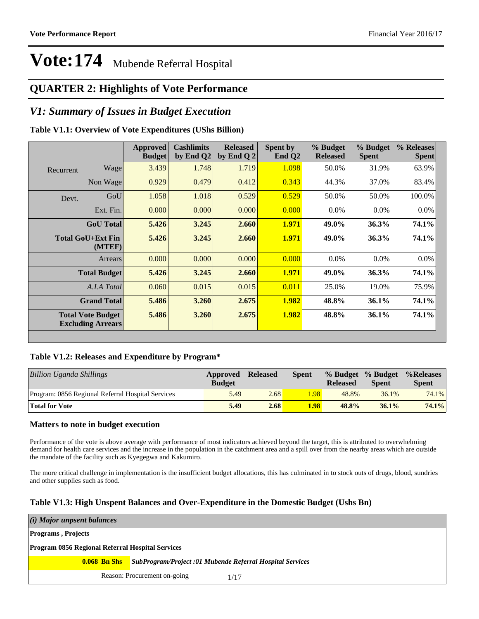### **QUARTER 2: Highlights of Vote Performance**

### *V1: Summary of Issues in Budget Execution*

#### **Table V1.1: Overview of Vote Expenditures (UShs Billion)**

|           |                                                      | <b>Approved</b><br><b>Budget</b> | <b>Cashlimits</b><br>by End Q2 | <b>Released</b><br>by End Q 2 | Spent by<br>End $Q2$ | % Budget<br><b>Released</b> | % Budget<br><b>Spent</b> | % Releases<br><b>Spent</b> |
|-----------|------------------------------------------------------|----------------------------------|--------------------------------|-------------------------------|----------------------|-----------------------------|--------------------------|----------------------------|
| Recurrent | Wage                                                 | 3.439                            | 1.748                          | 1.719                         | 1.098                | 50.0%                       | 31.9%                    | 63.9%                      |
|           | Non Wage                                             | 0.929                            | 0.479                          | 0.412                         | 0.343                | 44.3%                       | 37.0%                    | 83.4%                      |
| Devt.     | GoU                                                  | 1.058                            | 1.018                          | 0.529                         | 0.529                | 50.0%                       | 50.0%                    | 100.0%                     |
|           | Ext. Fin.                                            | 0.000                            | 0.000                          | 0.000                         | 0.000                | $0.0\%$                     | $0.0\%$                  | $0.0\%$                    |
|           | <b>GoU</b> Total                                     | 5.426                            | 3.245                          | 2.660                         | 1.971                | 49.0%                       | 36.3%                    | <b>74.1%</b>               |
|           | Total GoU+Ext Fin<br>(MTEF)                          | 5.426                            | 3.245                          | 2.660                         | 1.971                | 49.0%                       | 36.3%                    | 74.1%                      |
|           | Arrears                                              | 0.000                            | 0.000                          | 0.000                         | 0.000                | $0.0\%$                     | $0.0\%$                  | $0.0\%$                    |
|           | <b>Total Budget</b>                                  | 5.426                            | 3.245                          | 2.660                         | 1.971                | 49.0%                       | 36.3%                    | 74.1%                      |
|           | A.I.A Total                                          | 0.060                            | 0.015                          | 0.015                         | 0.011                | 25.0%                       | 19.0%                    | 75.9%                      |
|           | <b>Grand Total</b>                                   | 5.486                            | 3.260                          | 2.675                         | 1.982                | 48.8%                       | 36.1%                    | <b>74.1%</b>               |
|           | <b>Total Vote Budget</b><br><b>Excluding Arrears</b> | 5.486                            | 3.260                          | 2.675                         | 1.982                | 48.8%                       | 36.1%                    | 74.1%                      |

#### **Table V1.2: Releases and Expenditure by Program\***

| Billion Uganda Shillings                          | Approved<br><b>Budget</b> | <b>Released</b> | <b>Spent</b> | % Budget % Budget<br><b>Released</b> | <b>Spent</b> | %Releases<br><b>Spent</b> |
|---------------------------------------------------|---------------------------|-----------------|--------------|--------------------------------------|--------------|---------------------------|
| Program: 0856 Regional Referral Hospital Services | 5.49                      | 2.68            | 1.98         | 48.8%                                | 36.1%        | 74.1%                     |
| <b>Total for Vote</b>                             | 5.49                      | 2.68            | 1.98         | 48.8%                                | 36.1%        | 74.1%                     |

#### **Matters to note in budget execution**

Performance of the vote is above average with performance of most indicators achieved beyond the target, this is attributed to overwhelming demand for health care services and the increase in the population in the catchment area and a spill over from the nearby areas which are outside the mandate of the facility such as Kyegegwa and Kakumiro.

The more critical challenge in implementation is the insufficient budget allocations, this has culminated in to stock outs of drugs, blood, sundries and other supplies such as food.

#### **Table V1.3: High Unspent Balances and Over-Expenditure in the Domestic Budget (Ushs Bn)**

| (i) Major unpsent balances                              |                                                                              |
|---------------------------------------------------------|------------------------------------------------------------------------------|
| <b>Programs</b> , Projects                              |                                                                              |
| <b>Program 0856 Regional Referral Hospital Services</b> |                                                                              |
|                                                         | <b>0.068 Bn Shs</b> SubProgram/Project:01 Mubende Referral Hospital Services |
|                                                         | Reason: Procurement on-going<br>1/17                                         |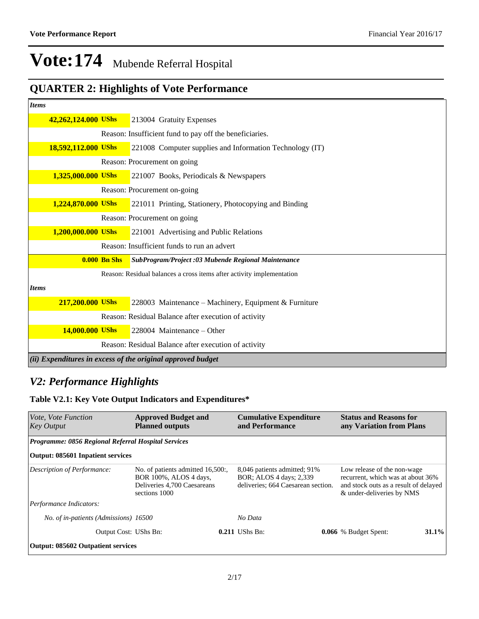## **QUARTER 2: Highlights of Vote Performance**

| <b>Items</b> |                     |                |                                                                       |
|--------------|---------------------|----------------|-----------------------------------------------------------------------|
|              | 42,262,124.000 UShs |                | 213004 Gratuity Expenses                                              |
|              |                     |                | Reason: Insufficient fund to pay off the beneficiaries.               |
|              | 18,592,112.000 UShs |                | 221008 Computer supplies and Information Technology (IT)              |
|              |                     |                | Reason: Procurement on going                                          |
|              | 1,325,000.000 UShs  |                | 221007 Books, Periodicals & Newspapers                                |
|              |                     |                | Reason: Procurement on-going                                          |
|              | 1,224,870.000 UShs  |                | 221011 Printing, Stationery, Photocopying and Binding                 |
|              |                     |                | Reason: Procurement on going                                          |
|              | 1,200,000.000 UShs  |                | 221001 Advertising and Public Relations                               |
|              |                     |                | Reason: Insufficient funds to run an advert                           |
|              |                     | $0.000$ Bn Shs | SubProgram/Project :03 Mubende Regional Maintenance                   |
|              |                     |                | Reason: Residual balances a cross items after activity implementation |
| <b>Items</b> |                     |                |                                                                       |
|              | 217,200.000 UShs    |                | 228003 Maintenance – Machinery, Equipment & Furniture                 |
|              |                     |                | Reason: Residual Balance after execution of activity                  |
|              | 14,000.000 UShs     |                | 228004 Maintenance – Other                                            |
|              |                     |                | Reason: Residual Balance after execution of activity                  |
|              |                     |                | (ii) Expenditures in excess of the original approved budget           |

### *V2: Performance Highlights*

#### **Table V2.1: Key Vote Output Indicators and Expenditures\***

| Vote, Vote Function<br><b>Key Output</b>                   | <b>Approved Budget and</b><br><b>Planned outputs</b>                                                        |  | <b>Cumulative Expenditure</b><br>and Performance                                              |  | <b>Status and Reasons for</b><br>any Variation from Plans |       |                                                                                                                                        |  |
|------------------------------------------------------------|-------------------------------------------------------------------------------------------------------------|--|-----------------------------------------------------------------------------------------------|--|-----------------------------------------------------------|-------|----------------------------------------------------------------------------------------------------------------------------------------|--|
| <b>Programme: 0856 Regional Referral Hospital Services</b> |                                                                                                             |  |                                                                                               |  |                                                           |       |                                                                                                                                        |  |
| Output: 085601 Inpatient services                          |                                                                                                             |  |                                                                                               |  |                                                           |       |                                                                                                                                        |  |
| Description of Performance:                                | No. of patients admitted 16,500:,<br>BOR 100%, ALOS 4 days,<br>Deliveries 4,700 Caesareans<br>sections 1000 |  | 8,046 patients admitted; 91%<br>BOR: ALOS 4 days: 2,339<br>deliveries; 664 Caesarean section. |  |                                                           |       | Low release of the non-wage<br>recurrent, which was at about 36%<br>and stock outs as a result of delayed<br>& under-deliveries by NMS |  |
| Performance Indicators:                                    |                                                                                                             |  |                                                                                               |  |                                                           |       |                                                                                                                                        |  |
| No. of in-patients (Admissions) 16500                      |                                                                                                             |  | No Data                                                                                       |  |                                                           |       |                                                                                                                                        |  |
| Output Cost: UShs Bn:                                      |                                                                                                             |  | $0.211$ UShs Bn:                                                                              |  | <b>0.066</b> % Budget Spent:                              | 31.1% |                                                                                                                                        |  |
| <b>Output: 085602 Outpatient services</b>                  |                                                                                                             |  |                                                                                               |  |                                                           |       |                                                                                                                                        |  |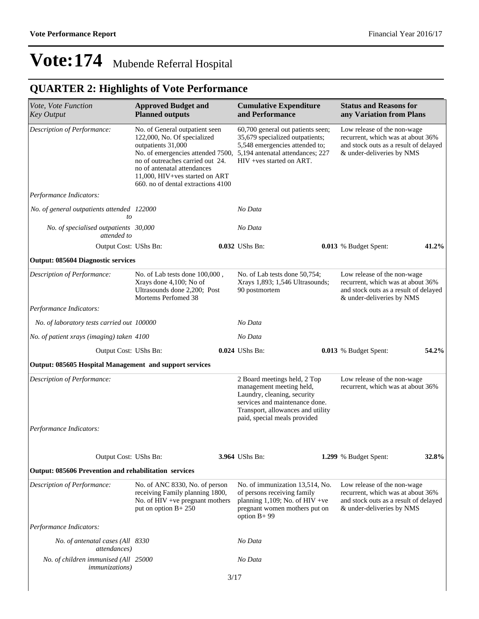## **QUARTER 2: Highlights of Vote Performance**

| Vote, Vote Function<br><b>Key Output</b>                                                                                                                                                                                                                                                           | <b>Approved Budget and</b><br><b>Planned outputs</b>                                                                              | <b>Cumulative Expenditure</b><br>and Performance                                                                                                                                               | <b>Status and Reasons for</b><br>any Variation from Plans                                                                              |       |
|----------------------------------------------------------------------------------------------------------------------------------------------------------------------------------------------------------------------------------------------------------------------------------------------------|-----------------------------------------------------------------------------------------------------------------------------------|------------------------------------------------------------------------------------------------------------------------------------------------------------------------------------------------|----------------------------------------------------------------------------------------------------------------------------------------|-------|
| Description of Performance:<br>No. of General outpatient seen<br>122,000, No. Of specialized<br>outpatients 31,000<br>No. of emergencies attended 7500,<br>no of outreaches carried out 24.<br>no of antenatal attendances<br>11,000, HIV+ves started on ART<br>660. no of dental extractions 4100 |                                                                                                                                   | 60,700 general out patients seen;<br>35,679 specialized outpatients;<br>5,548 emergencies attended to;<br>5,194 antenatal attendances; 227<br>HIV +ves started on ART.                         | Low release of the non-wage<br>recurrent, which was at about 36%<br>and stock outs as a result of delayed<br>& under-deliveries by NMS |       |
| Performance Indicators:                                                                                                                                                                                                                                                                            |                                                                                                                                   |                                                                                                                                                                                                |                                                                                                                                        |       |
| No. of general outpatients attended 122000<br>to                                                                                                                                                                                                                                                   |                                                                                                                                   | No Data                                                                                                                                                                                        |                                                                                                                                        |       |
| No. of specialised outpatients 30,000<br>attended to                                                                                                                                                                                                                                               |                                                                                                                                   | No Data                                                                                                                                                                                        |                                                                                                                                        |       |
| Output Cost: UShs Bn:                                                                                                                                                                                                                                                                              |                                                                                                                                   | 0.032 UShs Bn:                                                                                                                                                                                 | 0.013 % Budget Spent:                                                                                                                  | 41.2% |
| <b>Output: 085604 Diagnostic services</b>                                                                                                                                                                                                                                                          |                                                                                                                                   |                                                                                                                                                                                                |                                                                                                                                        |       |
| Description of Performance:                                                                                                                                                                                                                                                                        | No. of Lab tests done 100,000,<br>Xrays done 4,100; No of<br>Ultrasounds done 2,200; Post<br>Mortems Perfomed 38                  | No. of Lab tests done 50,754;<br>Xrays 1,893; 1,546 Ultrasounds;<br>90 postmortem                                                                                                              | Low release of the non-wage<br>recurrent, which was at about 36%<br>and stock outs as a result of delayed<br>& under-deliveries by NMS |       |
| Performance Indicators:                                                                                                                                                                                                                                                                            |                                                                                                                                   |                                                                                                                                                                                                |                                                                                                                                        |       |
| No. of laboratory tests carried out 100000                                                                                                                                                                                                                                                         |                                                                                                                                   | No Data                                                                                                                                                                                        |                                                                                                                                        |       |
| No. of patient xrays (imaging) taken 4100                                                                                                                                                                                                                                                          |                                                                                                                                   | No Data                                                                                                                                                                                        |                                                                                                                                        |       |
| Output Cost: UShs Bn:                                                                                                                                                                                                                                                                              |                                                                                                                                   | 0.024 UShs Bn:                                                                                                                                                                                 | 0.013 % Budget Spent:                                                                                                                  | 54.2% |
| Output: 085605 Hospital Management and support services                                                                                                                                                                                                                                            |                                                                                                                                   |                                                                                                                                                                                                |                                                                                                                                        |       |
| Description of Performance:                                                                                                                                                                                                                                                                        |                                                                                                                                   | 2 Board meetings held, 2 Top<br>management meeting held,<br>Laundry, cleaning, security<br>services and maintenance done.<br>Transport, allowances and utility<br>paid, special meals provided | Low release of the non-wage<br>recurrent, which was at about 36%                                                                       |       |
| Performance Indicators:                                                                                                                                                                                                                                                                            |                                                                                                                                   |                                                                                                                                                                                                |                                                                                                                                        |       |
| Output Cost: UShs Bn:                                                                                                                                                                                                                                                                              |                                                                                                                                   | 3.964 UShs Bn:                                                                                                                                                                                 | 1.299 % Budget Spent:                                                                                                                  | 32.8% |
| Output: 085606 Prevention and rehabilitation services                                                                                                                                                                                                                                              |                                                                                                                                   |                                                                                                                                                                                                |                                                                                                                                        |       |
| Description of Performance:                                                                                                                                                                                                                                                                        | No. of ANC 8330, No. of person<br>receiving Family planning 1800,<br>No. of $HIV +ve$ pregnant mothers<br>put on option $B + 250$ | No. of immunization 13,514, No.<br>of persons receiving family<br>planning 1,109; No. of HIV +ve<br>pregnant women mothers put on<br>option $B+99$                                             | Low release of the non-wage<br>recurrent, which was at about 36%<br>and stock outs as a result of delayed<br>& under-deliveries by NMS |       |
| Performance Indicators:                                                                                                                                                                                                                                                                            |                                                                                                                                   |                                                                                                                                                                                                |                                                                                                                                        |       |
| No. of antenatal cases (All 8330<br><i>attendances</i> )                                                                                                                                                                                                                                           |                                                                                                                                   | No Data                                                                                                                                                                                        |                                                                                                                                        |       |
| No. of children immunised (All 25000<br><i>immunizations</i> )                                                                                                                                                                                                                                     |                                                                                                                                   | No Data                                                                                                                                                                                        |                                                                                                                                        |       |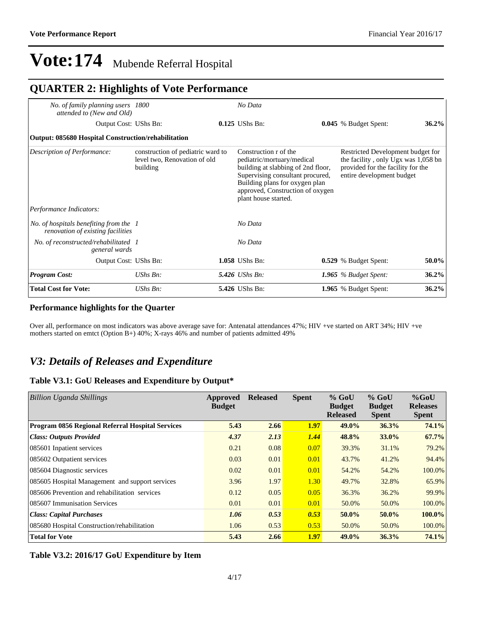#### *No. of family planning users attended to (New and Old) 1800 No Data* Output Cost: UShs Bn: **0.125** UShs Bn: **0.045** % Budget Spent: **36.2% Output: 085680 Hospital Construction/rehabilitation**  *Description of Performance:* construction of pediatric ward to level two, Renovation of old building Construction r of the pediatric/mortuary/medical building at slabbing of 2nd floor, Supervising consultant procured, Building plans for oxygen plan approved, Construction of oxygen plant house started. Restricted Development budget for the facility, only Ugx was 1,058 bn provided for the facility for the entire development budget *Performance Indicators: No. of hospitals benefiting from the renovation of existing facilities 1 No Data No. of reconstructed/rehabilitated general wards 1 No Data* Output Cost: UShs Bn: **1.058** UShs Bn: **0.529** % Budget Spent: **50.0%** *Program Cost: UShs Bn: 5.426 UShs Bn: 1.965 % Budget Spent:* **36.2% Total Cost for Vote:** *UShs Bn:* **5.426** UShs Bn: **1.965** % Budget Spent: **36.2% QUARTER 2: Highlights of Vote Performance**

#### **Performance highlights for the Quarter**

Over all, performance on most indicators was above average save for: Antenatal attendances 47%; HIV +ve started on ART 34%; HIV +ve mothers started on emtct (Option B+) 40%; X-rays 46% and number of patients admitted 49%

### *V3: Details of Releases and Expenditure*

#### **Table V3.1: GoU Releases and Expenditure by Output\***

| Billion Uganda Shillings                         | Approved<br><b>Budget</b> | <b>Released</b> | <b>Spent</b> | $%$ GoU<br><b>Budget</b> | $%$ GoU<br><b>Budget</b> | $%$ GoU<br><b>Releases</b> |
|--------------------------------------------------|---------------------------|-----------------|--------------|--------------------------|--------------------------|----------------------------|
|                                                  |                           |                 |              | <b>Released</b>          | <b>Spent</b>             | <b>Spent</b>               |
| Program 0856 Regional Referral Hospital Services | 5.43                      | 2.66            | 1.97         | 49.0%                    | 36.3%                    | 74.1%                      |
| <b>Class: Outputs Provided</b>                   | 4.37                      | 2.13            | 1.44         | 48.8%                    | 33.0%                    | 67.7%                      |
| 085601 Inpatient services                        | 0.21                      | 0.08            | 0.07         | 39.3%                    | 31.1%                    | 79.2%                      |
| 085602 Outpatient services                       | 0.03                      | 0.01            | 0.01         | 43.7%                    | 41.2%                    | 94.4%                      |
| 085604 Diagnostic services                       | 0.02                      | 0.01            | 0.01         | 54.2%                    | 54.2%                    | 100.0%                     |
| 085605 Hospital Management and support services  | 3.96                      | 1.97            | 1.30         | 49.7%                    | 32.8%                    | 65.9%                      |
| 085606 Prevention and rehabilitation services    | 0.12                      | 0.05            | 0.05         | 36.3%                    | 36.2%                    | 99.9%                      |
| 085607 Immunisation Services                     | 0.01                      | 0.01            | 0.01         | 50.0%                    | 50.0%                    | 100.0%                     |
| <b>Class: Capital Purchases</b>                  | 1.06                      | 0.53            | 0.53         | 50.0%                    | 50.0%                    | 100.0%                     |
| 085680 Hospital Construction/rehabilitation      | 1.06                      | 0.53            | 0.53         | 50.0%                    | 50.0%                    | 100.0%                     |
| <b>Total for Vote</b>                            | 5.43                      | 2.66            | 1.97         | 49.0%                    | 36.3%                    | 74.1%                      |

#### **Table V3.2: 2016/17 GoU Expenditure by Item**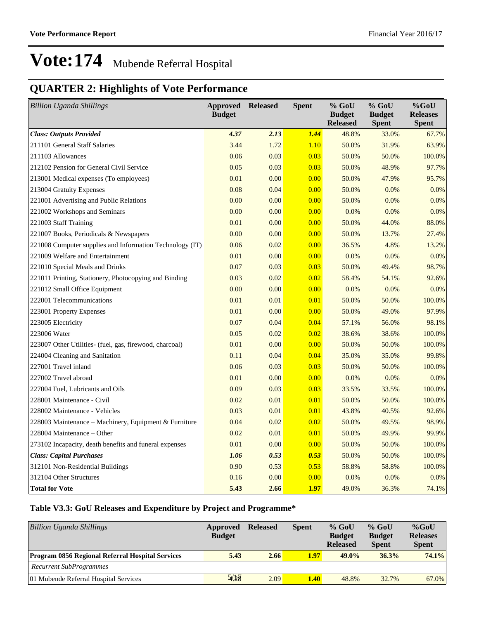### **QUARTER 2: Highlights of Vote Performance**

| <b>Billion Uganda Shillings</b>                          | <b>Approved Released</b><br><b>Budget</b> |      | <b>Spent</b> | $%$ GoU<br><b>Budget</b> | $%$ GoU<br><b>Budget</b> | $%$ GoU<br><b>Releases</b> |
|----------------------------------------------------------|-------------------------------------------|------|--------------|--------------------------|--------------------------|----------------------------|
|                                                          |                                           |      |              | <b>Released</b>          | <b>Spent</b>             | <b>Spent</b>               |
| <b>Class: Outputs Provided</b>                           | 4.37                                      | 2.13 | 1.44         | 48.8%                    | 33.0%                    | 67.7%                      |
| 211101 General Staff Salaries                            | 3.44                                      | 1.72 | 1.10         | 50.0%                    | 31.9%                    | 63.9%                      |
| 211103 Allowances                                        | 0.06                                      | 0.03 | 0.03         | 50.0%                    | 50.0%                    | 100.0%                     |
| 212102 Pension for General Civil Service                 | 0.05                                      | 0.03 | 0.03         | 50.0%                    | 48.9%                    | 97.7%                      |
| 213001 Medical expenses (To employees)                   | 0.01                                      | 0.00 | 0.00         | 50.0%                    | 47.9%                    | 95.7%                      |
| 213004 Gratuity Expenses                                 | 0.08                                      | 0.04 | 0.00         | 50.0%                    | 0.0%                     | $0.0\%$                    |
| 221001 Advertising and Public Relations                  | 0.00                                      | 0.00 | 0.00         | 50.0%                    | 0.0%                     | $0.0\%$                    |
| 221002 Workshops and Seminars                            | 0.00                                      | 0.00 | 0.00         | 0.0%                     | 0.0%                     | $0.0\%$                    |
| 221003 Staff Training                                    | 0.01                                      | 0.00 | 0.00         | 50.0%                    | 44.0%                    | 88.0%                      |
| 221007 Books, Periodicals & Newspapers                   | 0.00                                      | 0.00 | 0.00         | 50.0%                    | 13.7%                    | 27.4%                      |
| 221008 Computer supplies and Information Technology (IT) | 0.06                                      | 0.02 | 0.00         | 36.5%                    | 4.8%                     | 13.2%                      |
| 221009 Welfare and Entertainment                         | 0.01                                      | 0.00 | 0.00         | 0.0%                     | 0.0%                     | $0.0\%$                    |
| 221010 Special Meals and Drinks                          | 0.07                                      | 0.03 | 0.03         | 50.0%                    | 49.4%                    | 98.7%                      |
| 221011 Printing, Stationery, Photocopying and Binding    | 0.03                                      | 0.02 | 0.02         | 58.4%                    | 54.1%                    | 92.6%                      |
| 221012 Small Office Equipment                            | 0.00                                      | 0.00 | 0.00         | 0.0%                     | 0.0%                     | $0.0\%$                    |
| 222001 Telecommunications                                | 0.01                                      | 0.01 | 0.01         | 50.0%                    | 50.0%                    | 100.0%                     |
| 223001 Property Expenses                                 | 0.01                                      | 0.00 | 0.00         | 50.0%                    | 49.0%                    | 97.9%                      |
| 223005 Electricity                                       | 0.07                                      | 0.04 | 0.04         | 57.1%                    | 56.0%                    | 98.1%                      |
| 223006 Water                                             | 0.05                                      | 0.02 | 0.02         | 38.6%                    | 38.6%                    | 100.0%                     |
| 223007 Other Utilities- (fuel, gas, firewood, charcoal)  | 0.01                                      | 0.00 | 0.00         | 50.0%                    | 50.0%                    | 100.0%                     |
| 224004 Cleaning and Sanitation                           | 0.11                                      | 0.04 | 0.04         | 35.0%                    | 35.0%                    | 99.8%                      |
| 227001 Travel inland                                     | 0.06                                      | 0.03 | 0.03         | 50.0%                    | 50.0%                    | 100.0%                     |
| 227002 Travel abroad                                     | 0.01                                      | 0.00 | 0.00         | 0.0%                     | 0.0%                     | $0.0\%$                    |
| 227004 Fuel, Lubricants and Oils                         | 0.09                                      | 0.03 | 0.03         | 33.5%                    | 33.5%                    | 100.0%                     |
| 228001 Maintenance - Civil                               | 0.02                                      | 0.01 | 0.01         | 50.0%                    | 50.0%                    | 100.0%                     |
| 228002 Maintenance - Vehicles                            | 0.03                                      | 0.01 | 0.01         | 43.8%                    | 40.5%                    | 92.6%                      |
| 228003 Maintenance - Machinery, Equipment & Furniture    | 0.04                                      | 0.02 | 0.02         | 50.0%                    | 49.5%                    | 98.9%                      |
| 228004 Maintenance – Other                               | 0.02                                      | 0.01 | 0.01         | 50.0%                    | 49.9%                    | 99.9%                      |
| 273102 Incapacity, death benefits and funeral expenses   | 0.01                                      | 0.00 | 0.00         | 50.0%                    | 50.0%                    | 100.0%                     |
| <b>Class: Capital Purchases</b>                          | 1.06                                      | 0.53 | 0.53         | 50.0%                    | 50.0%                    | 100.0%                     |
| 312101 Non-Residential Buildings                         | 0.90                                      | 0.53 | 0.53         | 58.8%                    | 58.8%                    | 100.0%                     |
| 312104 Other Structures                                  | 0.16                                      | 0.00 | 0.00         | 0.0%                     | 0.0%                     | $0.0\%$                    |
| <b>Total for Vote</b>                                    | 5.43                                      | 2.66 | 1.97         | 49.0%                    | 36.3%                    | 74.1%                      |

#### **Table V3.3: GoU Releases and Expenditure by Project and Programme\***

| <b>Billion Uganda Shillings</b>                         | Approved<br><b>Budget</b> | <b>Released</b> | <b>Spent</b> | $%$ GoU<br><b>Budget</b><br><b>Released</b> | $%$ GoU<br><b>Budget</b><br><b>Spent</b> | $%$ GoU<br><b>Releases</b><br><b>Spent</b> |
|---------------------------------------------------------|---------------------------|-----------------|--------------|---------------------------------------------|------------------------------------------|--------------------------------------------|
| <b>Program 0856 Regional Referral Hospital Services</b> | 5.43                      | 2.66            | 1.97         | $49.0\%$                                    | 36.3%                                    | 74.1%                                      |
| <b>Recurrent SubProgrammes</b>                          |                           |                 |              |                                             |                                          |                                            |
| 01 Mubende Referral Hospital Services                   | 5/18                      | 2.09            | 1.40         | 48.8%                                       | 32.7%                                    | 67.0%                                      |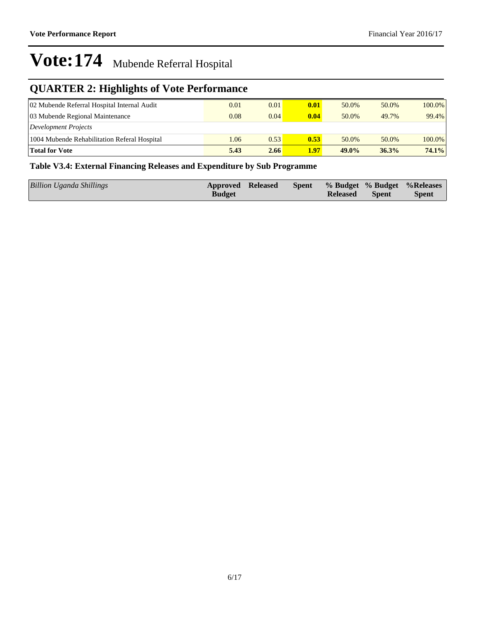## **QUARTER 2: Highlights of Vote Performance**

| 02 Mubende Referral Hospital Internal Audit  | 0.01 | 0.01 | 0.01 | 50.0%    | 50.0% | 100.0% |
|----------------------------------------------|------|------|------|----------|-------|--------|
| 03 Mubende Regional Maintenance              | 0.08 | 0.04 | 0.04 | 50.0%    | 49.7% | 99.4%  |
| Development Projects                         |      |      |      |          |       |        |
| 1004 Mubende Rehabilitation Referal Hospital | 1.06 | 0.53 | 0.53 | 50.0%    | 50.0% | 100.0% |
| <b>Total for Vote</b>                        | 5.43 | 2.66 | 1.97 | $49.0\%$ | 36.3% | 74.1%  |

#### **Table V3.4: External Financing Releases and Expenditure by Sub Programme**

| Billion Uganda Shillings | Approved Released<br><b>Budget</b> |  | <b>Released</b> | <b>Spent</b> | Spent % Budget % Budget % Releases<br><b>Spent</b> |
|--------------------------|------------------------------------|--|-----------------|--------------|----------------------------------------------------|
|                          |                                    |  |                 |              |                                                    |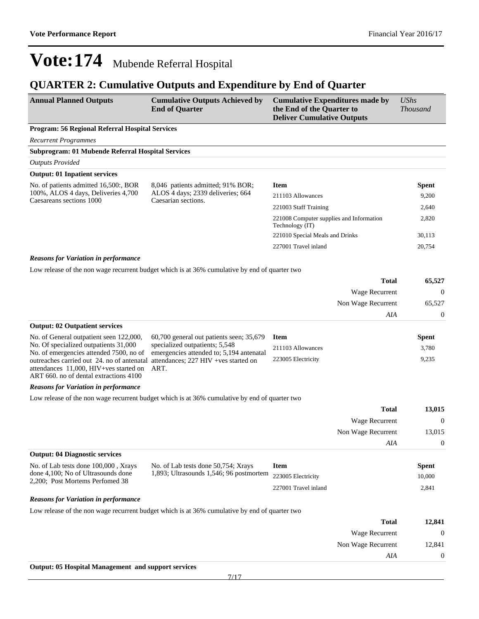## **QUARTER 2: Cumulative Outputs and Expenditure by End of Quarter**

| <b>Annual Planned Outputs</b>                                                                                                  | <b>Cumulative Outputs Achieved by</b><br><b>End of Quarter</b>                                | <b>Cumulative Expenditures made by</b><br>the End of the Quarter to<br><b>Deliver Cumulative Outputs</b> |                    | <b>UShs</b><br><b>Thousand</b> |
|--------------------------------------------------------------------------------------------------------------------------------|-----------------------------------------------------------------------------------------------|----------------------------------------------------------------------------------------------------------|--------------------|--------------------------------|
| <b>Program: 56 Regional Referral Hospital Services</b>                                                                         |                                                                                               |                                                                                                          |                    |                                |
| <b>Recurrent Programmes</b>                                                                                                    |                                                                                               |                                                                                                          |                    |                                |
| Subprogram: 01 Mubende Referral Hospital Services                                                                              |                                                                                               |                                                                                                          |                    |                                |
| <b>Outputs Provided</b>                                                                                                        |                                                                                               |                                                                                                          |                    |                                |
| <b>Output: 01 Inpatient services</b>                                                                                           |                                                                                               |                                                                                                          |                    |                                |
| No. of patients admitted 16,500:, BOR                                                                                          | 8,046 patients admitted; 91% BOR;                                                             | <b>Item</b>                                                                                              |                    | <b>Spent</b>                   |
| 100%, ALOS 4 days, Deliveries 4,700<br>Caesareans sections 1000                                                                | ALOS 4 days; 2339 deliveries; 664<br>Caesarian sections.                                      | 211103 Allowances                                                                                        |                    | 9,200                          |
|                                                                                                                                |                                                                                               | 221003 Staff Training                                                                                    |                    | 2,640                          |
|                                                                                                                                |                                                                                               | 221008 Computer supplies and Information<br>Technology (IT)                                              |                    | 2,820                          |
|                                                                                                                                |                                                                                               | 221010 Special Meals and Drinks                                                                          |                    | 30,113                         |
|                                                                                                                                |                                                                                               | 227001 Travel inland                                                                                     |                    | 20,754                         |
| <b>Reasons for Variation in performance</b>                                                                                    |                                                                                               |                                                                                                          |                    |                                |
|                                                                                                                                | Low release of the non wage recurrent budget which is at 36% cumulative by end of quarter two |                                                                                                          |                    |                                |
|                                                                                                                                |                                                                                               |                                                                                                          | <b>Total</b>       | 65,527                         |
|                                                                                                                                |                                                                                               |                                                                                                          | Wage Recurrent     | 0                              |
|                                                                                                                                |                                                                                               |                                                                                                          | Non Wage Recurrent | 65,527                         |
|                                                                                                                                |                                                                                               |                                                                                                          | AIA                | 0                              |
| <b>Output: 02 Outpatient services</b>                                                                                          |                                                                                               |                                                                                                          |                    |                                |
| No. of General outpatient seen 122,000,                                                                                        | 60,700 general out patients seen; 35,679                                                      | <b>Item</b>                                                                                              |                    | <b>Spent</b>                   |
| No. Of specialized outpatients 31,000<br>No. of emergencies attended 7500, no of                                               | specialized outpatients; 5,548<br>emergencies attended to; 5,194 antenatal                    | 211103 Allowances                                                                                        |                    | 3,780                          |
| outreaches carried out 24. no of antenatal<br>attendances 11,000, HIV+ves started on<br>ART 660, no of dental extractions 4100 | attendances; 227 HIV + ves started on<br>ART.                                                 | 223005 Electricity                                                                                       |                    | 9,235                          |
| <b>Reasons for Variation in performance</b>                                                                                    |                                                                                               |                                                                                                          |                    |                                |
|                                                                                                                                | Low release of the non wage recurrent budget which is at 36% cumulative by end of quarter two |                                                                                                          |                    |                                |
|                                                                                                                                |                                                                                               |                                                                                                          | <b>Total</b>       | 13,015                         |
|                                                                                                                                |                                                                                               |                                                                                                          | Wage Recurrent     | $\boldsymbol{0}$               |
|                                                                                                                                |                                                                                               |                                                                                                          | Non Wage Recurrent | 13,015                         |
|                                                                                                                                |                                                                                               |                                                                                                          | AIA                | $\theta$                       |
| <b>Output: 04 Diagnostic services</b>                                                                                          |                                                                                               |                                                                                                          |                    |                                |
| No. of Lab tests done 100,000, Xrays                                                                                           | No. of Lab tests done 50,754; Xrays                                                           | <b>Item</b>                                                                                              |                    | <b>Spent</b>                   |
| done 4,100; No of Ultrasounds done<br>2,200; Post Mortems Performed 38                                                         | 1,893; Ultrasounds 1,546; 96 postmortem                                                       | 223005 Electricity                                                                                       |                    | 10,000                         |
|                                                                                                                                |                                                                                               | 227001 Travel inland                                                                                     |                    | 2,841                          |
| <b>Reasons for Variation in performance</b>                                                                                    |                                                                                               |                                                                                                          |                    |                                |
|                                                                                                                                | Low release of the non wage recurrent budget which is at 36% cumulative by end of quarter two |                                                                                                          |                    |                                |
|                                                                                                                                |                                                                                               |                                                                                                          | <b>Total</b>       | 12,841                         |

| ____   | $   -$             |
|--------|--------------------|
|        | Wage Recurrent     |
| 12,841 | Non Wage Recurrent |
|        | AIA                |
|        | -------------      |

**Output: 05 Hospital Management and support services**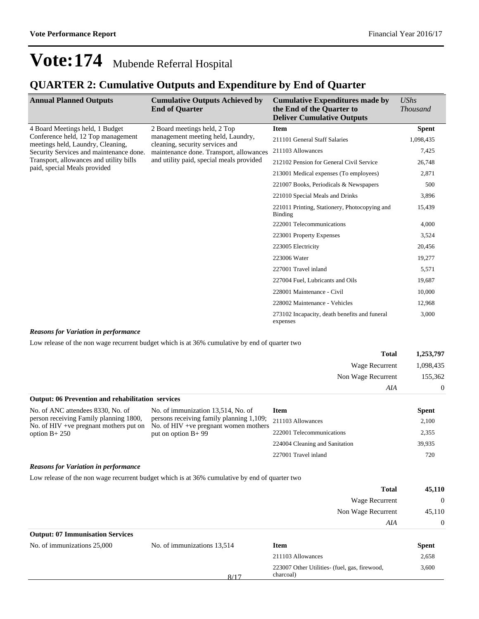### **QUARTER 2: Cumulative Outputs and Expenditure by End of Quarter**

| <b>Annual Planned Outputs</b>                                           | <b>Cumulative Outputs Achieved by</b><br><b>End of Quarter</b>                                                                                              | <b>Cumulative Expenditures made by</b><br>the End of the Quarter to<br><b>Deliver Cumulative Outputs</b> | UShs<br><b>Thousand</b> |
|-------------------------------------------------------------------------|-------------------------------------------------------------------------------------------------------------------------------------------------------------|----------------------------------------------------------------------------------------------------------|-------------------------|
| 4 Board Meetings held, 1 Budget                                         | 2 Board meetings held, 2 Top                                                                                                                                | <b>Item</b>                                                                                              | <b>Spent</b>            |
| Conference held, 12 Top management<br>meetings held, Laundry, Cleaning, | management meeting held, Laundry,<br>cleaning, security services and<br>maintenance done. Transport, allowances<br>and utility paid, special meals provided | 211101 General Staff Salaries                                                                            | 1,098,435               |
| Security Services and maintenance done.                                 |                                                                                                                                                             | 211103 Allowances                                                                                        | 7,425                   |
| Transport, allowances and utility bills                                 |                                                                                                                                                             | 212102 Pension for General Civil Service                                                                 | 26,748                  |
| paid, special Meals provided                                            |                                                                                                                                                             | 213001 Medical expenses (To employees)                                                                   | 2,871                   |
|                                                                         |                                                                                                                                                             | 221007 Books, Periodicals & Newspapers                                                                   | 500                     |
|                                                                         |                                                                                                                                                             | 221010 Special Meals and Drinks                                                                          | 3,896                   |
|                                                                         |                                                                                                                                                             | 221011 Printing, Stationery, Photocopying and<br>Binding                                                 | 15,439                  |
|                                                                         |                                                                                                                                                             | 222001 Telecommunications                                                                                | 4,000                   |
|                                                                         |                                                                                                                                                             | 223001 Property Expenses                                                                                 | 3,524                   |
|                                                                         |                                                                                                                                                             | 223005 Electricity                                                                                       | 20,456                  |
|                                                                         |                                                                                                                                                             | 223006 Water                                                                                             | 19,277                  |
|                                                                         |                                                                                                                                                             | 227001 Travel inland                                                                                     | 5,571                   |
|                                                                         |                                                                                                                                                             | 227004 Fuel, Lubricants and Oils                                                                         | 19,687                  |
|                                                                         |                                                                                                                                                             | 228001 Maintenance - Civil                                                                               | 10,000                  |
|                                                                         |                                                                                                                                                             | 228002 Maintenance - Vehicles                                                                            | 12,968                  |
|                                                                         |                                                                                                                                                             | 273102 Incapacity, death benefits and funeral<br>expenses                                                | 3,000                   |

#### *Reasons for Variation in performance*

Low release of the non wage recurrent budget which is at 36% cumulative by end of quarter two

| 1,253,797      | <b>Total</b>       |
|----------------|--------------------|
| 1,098,435      | Wage Recurrent     |
| 155,362        | Non Wage Recurrent |
| $\overline{0}$ | AIA                |

| <b>Output: 06 Prevention and rehabilitation services</b>                                                                                                                                                                                                                                       |                           |                                |              |  |
|------------------------------------------------------------------------------------------------------------------------------------------------------------------------------------------------------------------------------------------------------------------------------------------------|---------------------------|--------------------------------|--------------|--|
| No. of immunization 13,514, No. of<br>No. of ANC attendees 8330, No. of<br>persons receiving family planning 1,109;<br>person receiving Family planning 1800,<br>No. of $HIV +ve$ pregnant mothers put on<br>No. of $HIV +ve$ pregnant women mothers<br>put on option $B+99$<br>option $B+250$ |                           | Item                           | <b>Spent</b> |  |
|                                                                                                                                                                                                                                                                                                |                           | 211103 Allowances              | 2,100        |  |
|                                                                                                                                                                                                                                                                                                | 222001 Telecommunications | 2,355                          |              |  |
|                                                                                                                                                                                                                                                                                                |                           | 224004 Cleaning and Sanitation | 39,935       |  |
|                                                                                                                                                                                                                                                                                                |                           | 227001 Travel inland           | 720          |  |

#### *Reasons for Variation in performance*

Low release of the non wage recurrent budget which is at 36% cumulative by end of quarter two

| 45,110   | Total              |
|----------|--------------------|
| $\theta$ | Wage Recurrent     |
| 45,110   | Non Wage Recurrent |
| $\theta$ | AIA                |

| <b>Output: 07 Immunisation Services</b> |  |  |
|-----------------------------------------|--|--|
|-----------------------------------------|--|--|

| <b>Spent</b>                                           |
|--------------------------------------------------------|
| 2,658                                                  |
| 3,600<br>223007 Other Utilities- (fuel, gas, firewood, |
|                                                        |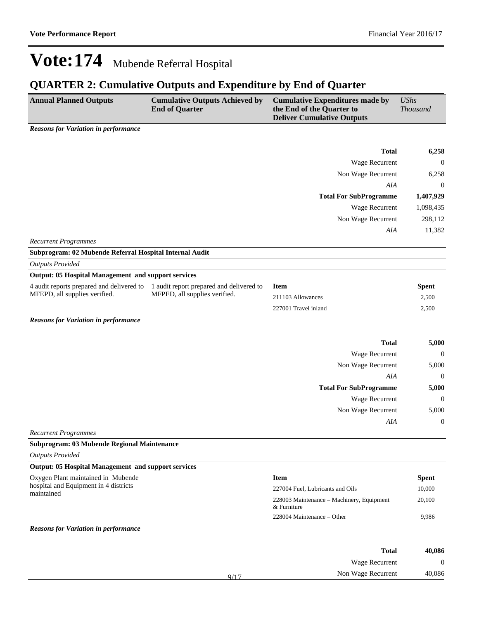## **QUARTER 2: Cumulative Outputs and Expenditure by End of Quarter**

| <b>Annual Planned Outputs</b>                              | <b>Cumulative Outputs Achieved by</b><br><b>End of Quarter</b> | Cumulative Expenditures made by<br>the End of the Quarter to<br><b>Deliver Cumulative Outputs</b> | UShs<br><i>Thousand</i> |
|------------------------------------------------------------|----------------------------------------------------------------|---------------------------------------------------------------------------------------------------|-------------------------|
| $\mathbf{p}$ and $\mathbf{r}$ is the state of $\mathbf{r}$ |                                                                |                                                                                                   |                         |

*Reasons for Variation in performance*

|                                                            |                                                                           | <b>Total</b>                  | 6,258            |
|------------------------------------------------------------|---------------------------------------------------------------------------|-------------------------------|------------------|
|                                                            |                                                                           | Wage Recurrent                | $\mathbf{0}$     |
|                                                            |                                                                           | Non Wage Recurrent            | 6,258            |
|                                                            |                                                                           | AIA                           | $\boldsymbol{0}$ |
|                                                            |                                                                           | <b>Total For SubProgramme</b> | 1,407,929        |
|                                                            |                                                                           | Wage Recurrent                | 1,098,435        |
|                                                            |                                                                           | Non Wage Recurrent            | 298,112          |
|                                                            |                                                                           | AIA                           | 11,382           |
| <b>Recurrent Programmes</b>                                |                                                                           |                               |                  |
| Subprogram: 02 Mubende Referral Hospital Internal Audit    |                                                                           |                               |                  |
| <b>Outputs Provided</b>                                    |                                                                           |                               |                  |
| <b>Output: 05 Hospital Management and support services</b> |                                                                           |                               |                  |
| 4 audit reports prepared and delivered to                  | 1 audit report prepared and delivered to<br>MFPED, all supplies verified. | <b>Item</b>                   | <b>Spent</b>     |
| MFEPD, all supplies verified.                              |                                                                           | 211103 Allowances             | 2,500            |
|                                                            |                                                                           | 227001 Travel inland          | 2,500            |
| <b>Reasons for Variation in performance</b>                |                                                                           |                               |                  |
|                                                            |                                                                           | <b>Total</b>                  | 5,000            |
|                                                            |                                                                           | Wage Recurrent                | $\theta$         |
|                                                            |                                                                           | Non Wage Recurrent            | 5,000            |
|                                                            |                                                                           | AIA                           | $\mathbf{0}$     |
|                                                            |                                                                           | <b>Total For SubProgramme</b> | 5,000            |
|                                                            |                                                                           | Wage Recurrent                | $\boldsymbol{0}$ |
|                                                            |                                                                           | Non Wage Recurrent            | 5,000            |
|                                                            |                                                                           | AIA                           | $\boldsymbol{0}$ |
| <b>Recurrent Programmes</b>                                |                                                                           |                               |                  |
| Subprogram: 03 Mubende Regional Maintenance                |                                                                           |                               |                  |
| <b>Outputs Provided</b>                                    |                                                                           |                               |                  |

| <b>Output: 05 Hospital Management and support services</b>                                |                                                          |        |
|-------------------------------------------------------------------------------------------|----------------------------------------------------------|--------|
| Oxygen Plant maintained in Mubende<br>hospital and Equipment in 4 districts<br>maintained | <b>Item</b>                                              | Spent  |
|                                                                                           | 227004 Fuel, Lubricants and Oils                         | 10,000 |
|                                                                                           | 228003 Maintenance – Machinery, Equipment<br>& Furniture | 20,100 |
|                                                                                           | $228004$ Maintenance – Other                             | 9.986  |
| <b>Reasons for Variation in performance</b>                                               |                                                          |        |

| 40,086 | <b>Total</b>          |      |
|--------|-----------------------|------|
| 0      | <b>Wage Recurrent</b> |      |
| 40,086 | Non Wage Recurrent    | Q/17 |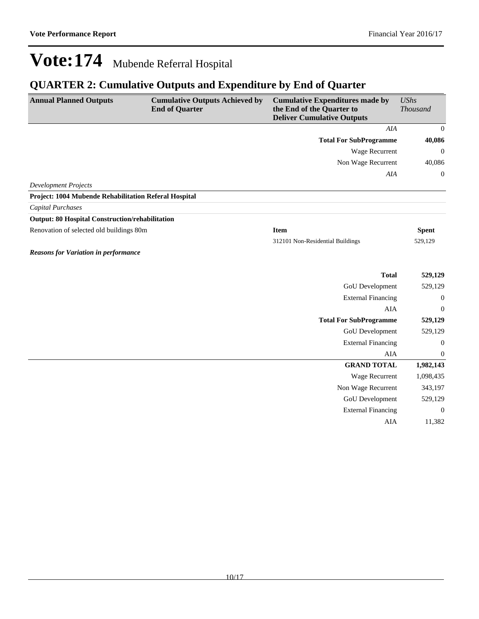## **QUARTER 2: Cumulative Outputs and Expenditure by End of Quarter**

| <b>Annual Planned Outputs</b>                          | <b>Cumulative Outputs Achieved by</b><br><b>End of Quarter</b> | <b>Cumulative Expenditures made by</b><br>the End of the Quarter to<br><b>Deliver Cumulative Outputs</b> | <b>UShs</b><br><b>Thousand</b> |
|--------------------------------------------------------|----------------------------------------------------------------|----------------------------------------------------------------------------------------------------------|--------------------------------|
|                                                        |                                                                | AIA                                                                                                      | $\mathbf{0}$                   |
|                                                        |                                                                | <b>Total For SubProgramme</b>                                                                            | 40,086                         |
|                                                        |                                                                | Wage Recurrent                                                                                           | $\mathbf{0}$                   |
|                                                        |                                                                | Non Wage Recurrent                                                                                       | 40,086                         |
|                                                        |                                                                | AIA                                                                                                      | $\boldsymbol{0}$               |
| <b>Development Projects</b>                            |                                                                |                                                                                                          |                                |
| Project: 1004 Mubende Rehabilitation Referal Hospital  |                                                                |                                                                                                          |                                |
| <b>Capital Purchases</b>                               |                                                                |                                                                                                          |                                |
| <b>Output: 80 Hospital Construction/rehabilitation</b> |                                                                |                                                                                                          |                                |
| Renovation of selected old buildings 80m               |                                                                | <b>Item</b>                                                                                              | <b>Spent</b>                   |
|                                                        |                                                                | 312101 Non-Residential Buildings                                                                         | 529,129                        |
| <b>Reasons for Variation in performance</b>            |                                                                |                                                                                                          |                                |
|                                                        |                                                                | <b>Total</b>                                                                                             | 529,129                        |
|                                                        |                                                                | GoU Development                                                                                          | 529,129                        |
|                                                        |                                                                | <b>External Financing</b>                                                                                | $\boldsymbol{0}$               |
|                                                        |                                                                | <b>AIA</b>                                                                                               | $\boldsymbol{0}$               |
|                                                        |                                                                | <b>Total For SubProgramme</b>                                                                            | 529,129                        |
|                                                        |                                                                | <b>GoU</b> Development                                                                                   | 529,129                        |
|                                                        |                                                                | <b>External Financing</b>                                                                                | $\boldsymbol{0}$               |
|                                                        |                                                                | <b>AIA</b>                                                                                               | $\boldsymbol{0}$               |
|                                                        |                                                                | <b>GRAND TOTAL</b>                                                                                       | 1,982,143                      |
|                                                        |                                                                | Wage Recurrent                                                                                           | 1,098,435                      |
|                                                        |                                                                | Non Wage Recurrent                                                                                       | 343,197                        |
|                                                        |                                                                | GoU Development                                                                                          | 529,129                        |
|                                                        |                                                                | <b>External Financing</b>                                                                                | $\mathbf{0}$                   |
|                                                        |                                                                | AIA                                                                                                      | 11,382                         |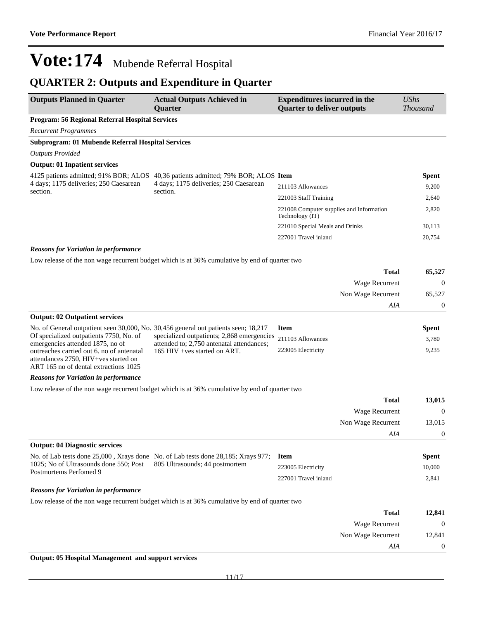## **QUARTER 2: Outputs and Expenditure in Quarter**

| <b>Outputs Planned in Quarter</b>                                                                                                                              | <b>Actual Outputs Achieved in</b><br><b>Quarter</b>                                           | <b>Expenditures incurred in the</b><br><b>Quarter to deliver outputs</b> | <b>UShs</b><br><b>Thousand</b> |
|----------------------------------------------------------------------------------------------------------------------------------------------------------------|-----------------------------------------------------------------------------------------------|--------------------------------------------------------------------------|--------------------------------|
| Program: 56 Regional Referral Hospital Services                                                                                                                |                                                                                               |                                                                          |                                |
| <b>Recurrent Programmes</b>                                                                                                                                    |                                                                                               |                                                                          |                                |
| Subprogram: 01 Mubende Referral Hospital Services                                                                                                              |                                                                                               |                                                                          |                                |
| <b>Outputs Provided</b>                                                                                                                                        |                                                                                               |                                                                          |                                |
| <b>Output: 01 Inpatient services</b>                                                                                                                           |                                                                                               |                                                                          |                                |
| 4125 patients admitted; 91% BOR; ALOS                                                                                                                          | 40,36 patients admitted; 79% BOR; ALOS Item                                                   |                                                                          | Spent                          |
| 4 days; 1175 deliveries; 250 Caesarean                                                                                                                         | 4 days; 1175 deliveries; 250 Caesarean                                                        | 211103 Allowances                                                        | 9,200                          |
| section.                                                                                                                                                       | section.                                                                                      | 221003 Staff Training                                                    | 2,640                          |
|                                                                                                                                                                |                                                                                               | 221008 Computer supplies and Information<br>Technology (IT)              | 2,820                          |
|                                                                                                                                                                |                                                                                               | 221010 Special Meals and Drinks                                          | 30,113                         |
|                                                                                                                                                                |                                                                                               | 227001 Travel inland                                                     | 20,754                         |
| <b>Reasons for Variation in performance</b>                                                                                                                    |                                                                                               |                                                                          |                                |
|                                                                                                                                                                | Low release of the non wage recurrent budget which is at 36% cumulative by end of quarter two |                                                                          |                                |
|                                                                                                                                                                |                                                                                               | <b>Total</b>                                                             | 65,527                         |
|                                                                                                                                                                |                                                                                               | <b>Wage Recurrent</b>                                                    | $\theta$                       |
|                                                                                                                                                                |                                                                                               | Non Wage Recurrent                                                       |                                |
|                                                                                                                                                                |                                                                                               |                                                                          | 65,527                         |
|                                                                                                                                                                |                                                                                               | AIA                                                                      | $\mathbf 0$                    |
| <b>Output: 02 Outpatient services</b>                                                                                                                          |                                                                                               |                                                                          |                                |
| No. of General outpatient seen 30,000, No. 30,456 general out patients seen; 18,217                                                                            |                                                                                               | <b>Item</b>                                                              | <b>Spent</b>                   |
| Of specialized outpatients 7750, No. of                                                                                                                        | specialized outpatients; 2,868 emergencies                                                    | 211103 Allowances                                                        | 3,780                          |
| emergencies attended 1875, no of<br>outreaches carried out 6. no of antenatal<br>attendances 2750, HIV+ves started on<br>ART 165 no of dental extractions 1025 | attended to; 2,750 antenatal attendances;<br>165 HIV + ves started on ART.                    | 223005 Electricity                                                       | 9,235                          |
| <b>Reasons for Variation in performance</b>                                                                                                                    |                                                                                               |                                                                          |                                |
|                                                                                                                                                                | Low release of the non wage recurrent budget which is at 36% cumulative by end of quarter two |                                                                          |                                |
|                                                                                                                                                                |                                                                                               | <b>Total</b>                                                             | 13,015                         |
|                                                                                                                                                                |                                                                                               | Wage Recurrent                                                           | $\theta$                       |
|                                                                                                                                                                |                                                                                               | Non Wage Recurrent                                                       | 13,015                         |

|                                                                                                 | No. of Lab tests done 25,000, Xrays done No. of Lab tests done 28,185; Xrays 977; Item |                      | <b>Spent</b> |
|-------------------------------------------------------------------------------------------------|----------------------------------------------------------------------------------------|----------------------|--------------|
| 1025; No of Ultrasounds done 550; Post 805 Ultrasounds; 44 postmortem<br>Postmortems Perfomed 9 |                                                                                        | 223005 Electricity   | 10,000       |
|                                                                                                 |                                                                                        | 227001 Travel inland | 2.841        |

#### *Reasons for Variation in performance*

Low release of the non wage recurrent budget which is at 36% cumulative by end of quarter two

| 12,841         | <b>Total</b>          |
|----------------|-----------------------|
| $\overline{0}$ | <b>Wage Recurrent</b> |
| 12,841         | Non Wage Recurrent    |
| $\overline{0}$ | AIA                   |
|                |                       |

#### **Output: 05 Hospital Management and support services**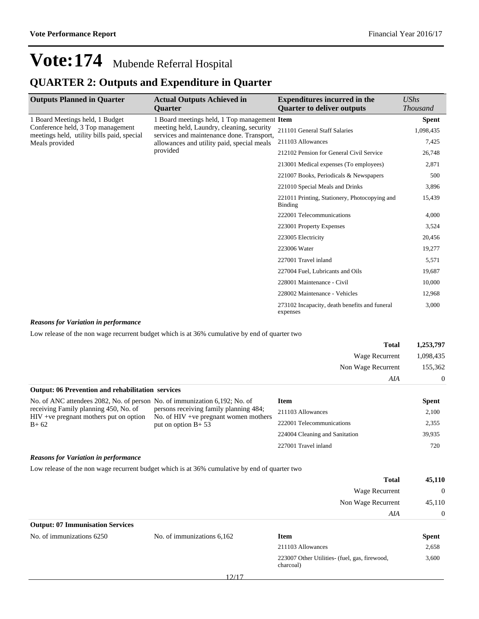### **QUARTER 2: Outputs and Expenditure in Quarter**

| <b>Outputs Planned in Quarter</b>                                               | <b>Actual Outputs Achieved in</b><br><b>Ouarter</b>                                                                                                                                                                                        | <b>Expenditures incurred in the</b><br><b>Ouarter to deliver outputs</b> | <b>UShs</b><br><b>Thousand</b> |
|---------------------------------------------------------------------------------|--------------------------------------------------------------------------------------------------------------------------------------------------------------------------------------------------------------------------------------------|--------------------------------------------------------------------------|--------------------------------|
| 1 Board Meetings held, 1 Budget                                                 | 1 Board meetings held, 1 Top management Item<br>meeting held, Laundry, cleaning, security<br>211101 General Staff Salaries<br>services and maintenance done. Transport,<br>211103 Allowances<br>allowances and utility paid, special meals |                                                                          | <b>Spent</b>                   |
| Conference held, 3 Top management<br>meetings held, utility bills paid, special |                                                                                                                                                                                                                                            |                                                                          | 1,098,435                      |
| Meals provided                                                                  |                                                                                                                                                                                                                                            |                                                                          | 7,425                          |
|                                                                                 | provided                                                                                                                                                                                                                                   | 212102 Pension for General Civil Service                                 | 26,748                         |
|                                                                                 |                                                                                                                                                                                                                                            | 213001 Medical expenses (To employees)                                   | 2,871                          |
|                                                                                 |                                                                                                                                                                                                                                            | 221007 Books, Periodicals & Newspapers                                   | 500                            |
|                                                                                 |                                                                                                                                                                                                                                            | 221010 Special Meals and Drinks                                          | 3,896                          |
|                                                                                 |                                                                                                                                                                                                                                            | 221011 Printing, Stationery, Photocopying and<br>Binding                 | 15,439                         |
|                                                                                 |                                                                                                                                                                                                                                            | 222001 Telecommunications                                                | 4,000                          |
|                                                                                 |                                                                                                                                                                                                                                            | 223001 Property Expenses                                                 | 3,524                          |
|                                                                                 |                                                                                                                                                                                                                                            | 223005 Electricity                                                       | 20,456                         |
|                                                                                 |                                                                                                                                                                                                                                            | 223006 Water                                                             | 19,277                         |
|                                                                                 |                                                                                                                                                                                                                                            | 227001 Travel inland                                                     | 5,571                          |
|                                                                                 |                                                                                                                                                                                                                                            | 227004 Fuel, Lubricants and Oils                                         | 19,687                         |
|                                                                                 |                                                                                                                                                                                                                                            | 228001 Maintenance - Civil                                               | 10,000                         |
|                                                                                 |                                                                                                                                                                                                                                            | 228002 Maintenance - Vehicles                                            | 12,968                         |
|                                                                                 |                                                                                                                                                                                                                                            | 273102 Incapacity, death benefits and funeral<br>expenses                | 3,000                          |

#### *Reasons for Variation in performance*

Low release of the non wage recurrent budget which is at 36% cumulative by end of quarter two

|                                                                                                                                                                 |                                                                                   | <b>Total</b>                   | 1,253,797    |
|-----------------------------------------------------------------------------------------------------------------------------------------------------------------|-----------------------------------------------------------------------------------|--------------------------------|--------------|
|                                                                                                                                                                 |                                                                                   | Wage Recurrent                 | 1,098,435    |
|                                                                                                                                                                 |                                                                                   | Non Wage Recurrent             | 155,362      |
|                                                                                                                                                                 |                                                                                   | AIA                            | $\Omega$     |
| <b>Output: 06 Prevention and rehabilitation services</b>                                                                                                        |                                                                                   |                                |              |
| No. of ANC attendees 2082, No. of person No. of immunization 6,192; No. of<br>receiving Family planning 450, No. of<br>$HIV +ve$ pregnant mothers put on option |                                                                                   | <b>Item</b>                    | <b>Spent</b> |
|                                                                                                                                                                 | persons receiving family planning 484;<br>No. of $HIV +ve$ pregnant women mothers | 211103 Allowances              | 2,100        |
| $B + 62$                                                                                                                                                        | put on option $B+53$                                                              | 222001 Telecommunications      | 2,355        |
|                                                                                                                                                                 |                                                                                   | 224004 Cleaning and Sanitation | 39,935       |
|                                                                                                                                                                 |                                                                                   | 227001 Travel inland           | 720          |
| $\overline{a}$ is a set of $\overline{a}$                                                                                                                       |                                                                                   |                                |              |

#### *Reasons for Variation in performance*

Low release of the non wage recurrent budget which is at 36% cumulative by end of quarter two

| <b>Total</b>                            | 45,110   |
|-----------------------------------------|----------|
| Wage Recurrent                          | $\Omega$ |
| Non Wage Recurrent                      | 45,110   |
| AIA                                     | $\Omega$ |
| <b>Output: 07 Immunisation Services</b> |          |

| No. of immunizations 6250 | No. of immunizations 6,162 | Item                                                       | <b>Spent</b> |
|---------------------------|----------------------------|------------------------------------------------------------|--------------|
|                           |                            | 211103 Allowances                                          | 2,658        |
|                           |                            | 223007 Other Utilities- (fuel, gas, firewood,<br>charcoal) | 3,600        |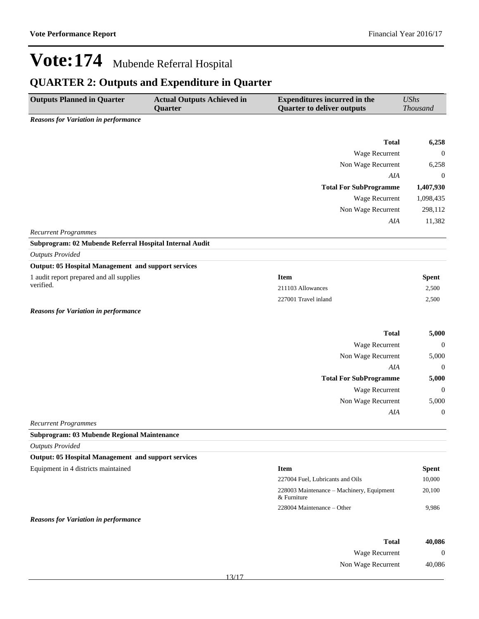## **QUARTER 2: Outputs and Expenditure in Quarter**

| <b>Outputs Planned in Quarter</b>                          | <b>Actual Outputs Achieved in</b><br>Quarter | <b>Expenditures incurred in the</b><br><b>Quarter to deliver outputs</b> | <b>UShs</b><br>Thousand |  |
|------------------------------------------------------------|----------------------------------------------|--------------------------------------------------------------------------|-------------------------|--|
| <b>Reasons for Variation in performance</b>                |                                              |                                                                          |                         |  |
|                                                            |                                              |                                                                          |                         |  |
|                                                            |                                              | <b>Total</b>                                                             | 6,258                   |  |
|                                                            |                                              | Wage Recurrent                                                           | $\mathbf{0}$            |  |
|                                                            |                                              | Non Wage Recurrent                                                       | 6,258                   |  |
|                                                            |                                              | AIA                                                                      | $\boldsymbol{0}$        |  |
|                                                            |                                              | <b>Total For SubProgramme</b>                                            | 1,407,930               |  |
|                                                            |                                              | Wage Recurrent                                                           | 1,098,435               |  |
|                                                            |                                              | Non Wage Recurrent                                                       | 298,112                 |  |
|                                                            |                                              | AIA                                                                      | 11,382                  |  |
| <b>Recurrent Programmes</b>                                |                                              |                                                                          |                         |  |
| Subprogram: 02 Mubende Referral Hospital Internal Audit    |                                              |                                                                          |                         |  |
| <b>Outputs Provided</b>                                    |                                              |                                                                          |                         |  |
| <b>Output: 05 Hospital Management and support services</b> |                                              |                                                                          |                         |  |
| 1 audit report prepared and all supplies<br>verified.      |                                              | <b>Item</b>                                                              | <b>Spent</b>            |  |
|                                                            |                                              | 211103 Allowances                                                        | 2,500                   |  |
|                                                            |                                              | 227001 Travel inland                                                     | 2,500                   |  |
| <b>Reasons for Variation in performance</b>                |                                              |                                                                          |                         |  |
|                                                            |                                              | <b>Total</b>                                                             | 5,000                   |  |
|                                                            |                                              | Wage Recurrent                                                           | $\boldsymbol{0}$        |  |
|                                                            |                                              | Non Wage Recurrent                                                       | 5,000                   |  |
|                                                            |                                              | AIA                                                                      | 0                       |  |
|                                                            |                                              | <b>Total For SubProgramme</b>                                            | 5,000                   |  |
|                                                            |                                              | Wage Recurrent                                                           | $\boldsymbol{0}$        |  |
|                                                            |                                              | Non Wage Recurrent                                                       | 5,000                   |  |
|                                                            |                                              | AIA                                                                      | $\boldsymbol{0}$        |  |
| <b>Recurrent Programmes</b>                                |                                              |                                                                          |                         |  |
| Subprogram: 03 Mubende Regional Maintenance                |                                              |                                                                          |                         |  |
| <b>Outputs Provided</b>                                    |                                              |                                                                          |                         |  |
| <b>Output: 05 Hospital Management and support services</b> |                                              |                                                                          |                         |  |
| Equipment in 4 districts maintained                        |                                              | <b>Item</b>                                                              | <b>Spent</b>            |  |
|                                                            |                                              | 227004 Fuel, Lubricants and Oils                                         | 10,000                  |  |
|                                                            |                                              | 228003 Maintenance - Machinery, Equipment<br>& Furniture                 | 20,100                  |  |
|                                                            |                                              | 228004 Maintenance - Other                                               | 9,986                   |  |
| <b>Reasons for Variation in performance</b>                |                                              |                                                                          |                         |  |

| <b>Total</b>       | 40,086 |
|--------------------|--------|
| Wage Recurrent     |        |
| Non Wage Recurrent | 40,086 |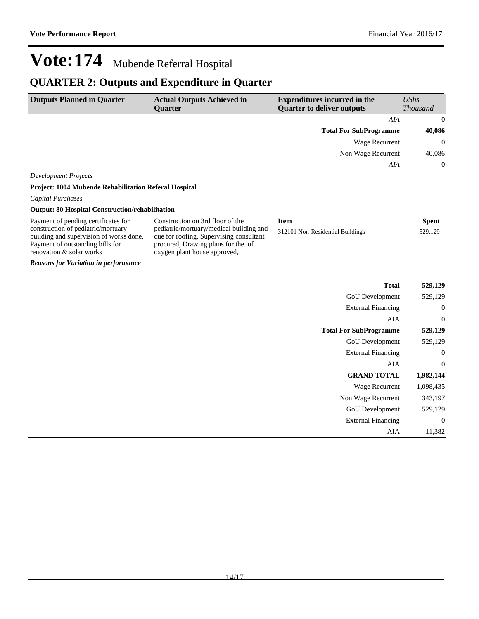## **QUARTER 2: Outputs and Expenditure in Quarter**

| <b>Outputs Planned in Quarter</b>                                                                                                                                                                                                                                                                                                                                                                                                                                                                                                                                                                                         | <b>Actual Outputs Achieved in</b> | <b>Expenditures incurred in the</b>     | <b>UShs</b>      |
|---------------------------------------------------------------------------------------------------------------------------------------------------------------------------------------------------------------------------------------------------------------------------------------------------------------------------------------------------------------------------------------------------------------------------------------------------------------------------------------------------------------------------------------------------------------------------------------------------------------------------|-----------------------------------|-----------------------------------------|------------------|
|                                                                                                                                                                                                                                                                                                                                                                                                                                                                                                                                                                                                                           | <b>Quarter</b>                    | <b>Quarter to deliver outputs</b>       | <b>Thousand</b>  |
|                                                                                                                                                                                                                                                                                                                                                                                                                                                                                                                                                                                                                           |                                   | AIA                                     | $\boldsymbol{0}$ |
| <b>Development Projects</b><br>Project: 1004 Mubende Rehabilitation Referal Hospital<br>Capital Purchases<br><b>Output: 80 Hospital Construction/rehabilitation</b><br>Payment of pending certificates for<br>Construction on 3rd floor of the<br><b>Item</b><br>construction of pediatric/mortuary<br>pediatric/mortuary/medical building and<br>building and supervision of works done,<br>due for roofing, Supervising consultant<br>procured, Drawing plans for the of<br>Payment of outstanding bills for<br>renovation & solar works<br>oxygen plant house approved,<br><b>Reasons for Variation in performance</b> | <b>Total For SubProgramme</b>     | 40,086                                  |                  |
|                                                                                                                                                                                                                                                                                                                                                                                                                                                                                                                                                                                                                           |                                   | Wage Recurrent                          | $\boldsymbol{0}$ |
|                                                                                                                                                                                                                                                                                                                                                                                                                                                                                                                                                                                                                           |                                   | Non Wage Recurrent                      | 40,086           |
|                                                                                                                                                                                                                                                                                                                                                                                                                                                                                                                                                                                                                           |                                   | AIA                                     | $\boldsymbol{0}$ |
|                                                                                                                                                                                                                                                                                                                                                                                                                                                                                                                                                                                                                           |                                   |                                         |                  |
|                                                                                                                                                                                                                                                                                                                                                                                                                                                                                                                                                                                                                           |                                   |                                         |                  |
|                                                                                                                                                                                                                                                                                                                                                                                                                                                                                                                                                                                                                           |                                   |                                         |                  |
|                                                                                                                                                                                                                                                                                                                                                                                                                                                                                                                                                                                                                           |                                   |                                         |                  |
|                                                                                                                                                                                                                                                                                                                                                                                                                                                                                                                                                                                                                           |                                   |                                         | <b>Spent</b>     |
|                                                                                                                                                                                                                                                                                                                                                                                                                                                                                                                                                                                                                           |                                   | 312101 Non-Residential Buildings        | 529,129          |
|                                                                                                                                                                                                                                                                                                                                                                                                                                                                                                                                                                                                                           |                                   |                                         |                  |
|                                                                                                                                                                                                                                                                                                                                                                                                                                                                                                                                                                                                                           |                                   | <b>Total</b>                            | 529,129          |
|                                                                                                                                                                                                                                                                                                                                                                                                                                                                                                                                                                                                                           |                                   | GoU Development                         | 529,129          |
|                                                                                                                                                                                                                                                                                                                                                                                                                                                                                                                                                                                                                           |                                   |                                         |                  |
|                                                                                                                                                                                                                                                                                                                                                                                                                                                                                                                                                                                                                           |                                   | <b>External Financing</b><br><b>AIA</b> | $\mathbf{0}$     |
|                                                                                                                                                                                                                                                                                                                                                                                                                                                                                                                                                                                                                           |                                   |                                         | $\boldsymbol{0}$ |
|                                                                                                                                                                                                                                                                                                                                                                                                                                                                                                                                                                                                                           |                                   | <b>Total For SubProgramme</b>           | 529,129          |
|                                                                                                                                                                                                                                                                                                                                                                                                                                                                                                                                                                                                                           |                                   | <b>GoU</b> Development                  | 529,129          |
|                                                                                                                                                                                                                                                                                                                                                                                                                                                                                                                                                                                                                           |                                   | <b>External Financing</b>               | $\boldsymbol{0}$ |
|                                                                                                                                                                                                                                                                                                                                                                                                                                                                                                                                                                                                                           |                                   | AIA                                     | $\boldsymbol{0}$ |
|                                                                                                                                                                                                                                                                                                                                                                                                                                                                                                                                                                                                                           |                                   | <b>GRAND TOTAL</b>                      | 1,982,144        |
|                                                                                                                                                                                                                                                                                                                                                                                                                                                                                                                                                                                                                           |                                   | Wage Recurrent                          | 1,098,435        |
|                                                                                                                                                                                                                                                                                                                                                                                                                                                                                                                                                                                                                           |                                   | Non Wage Recurrent                      | 343,197          |
|                                                                                                                                                                                                                                                                                                                                                                                                                                                                                                                                                                                                                           |                                   | <b>GoU</b> Development                  | 529,129          |
|                                                                                                                                                                                                                                                                                                                                                                                                                                                                                                                                                                                                                           |                                   | <b>External Financing</b>               | $\mathbf{0}$     |
|                                                                                                                                                                                                                                                                                                                                                                                                                                                                                                                                                                                                                           |                                   | AIA                                     | 11,382           |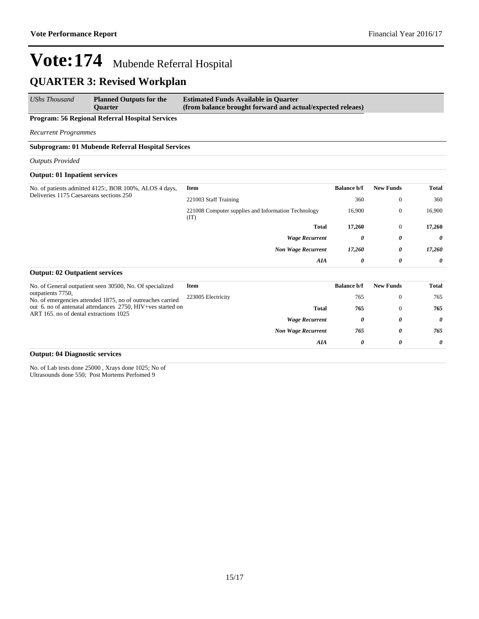### **QUARTER 3: Revised Workplan**

*UShs Thousand* **Planned Outputs for the Quarter Estimated Funds Available in Quarter (from balance brought forward and actual/expected releaes)**

#### **Program: 56 Regional Referral Hospital Services**

*Recurrent Programmes*

#### **Subprogram: 01 Mubende Referral Hospital Services**

*Outputs Provided*

#### **Output: 01 Inpatient services**

| No. of patients admitted 4125:, BOR 100%, ALOS 4 days, | Item                                                        | <b>Balance b/f</b> | <b>New Funds</b> | Total                 |
|--------------------------------------------------------|-------------------------------------------------------------|--------------------|------------------|-----------------------|
| Deliveries 1175 Caesareans sections 250                | 221003 Staff Training                                       | 360                | $\theta$         | 360                   |
|                                                        | 221008 Computer supplies and Information Technology<br>(TT) | 16,900             | $\overline{0}$   | 16,900                |
|                                                        | <b>Total</b>                                                | 17,260             | $\overline{0}$   | 17,260                |
|                                                        | <b>Wage Recurrent</b>                                       | 0                  | 0                | $\theta$              |
|                                                        | <b>Non Wage Recurrent</b>                                   | 17,260             | 0                | 17,260                |
|                                                        | AIA                                                         | 0                  | 0                | $\boldsymbol{\theta}$ |
| <b>Output: 02 Outpatient services</b>                  |                                                             |                    |                  |                       |

| No. of General outpatient seen 30500, No. Of specialized                                              | Item               |                           | <b>Balance b/f</b> | <b>New Funds</b> | Total    |
|-------------------------------------------------------------------------------------------------------|--------------------|---------------------------|--------------------|------------------|----------|
| outpatients 7750,<br>No. of emergencies attended 1875, no of outreaches carried                       | 223005 Electricity |                           | 765                |                  | 765      |
| out 6. no of antenatal attendances 2750, HIV+ves started on<br>ART 165, no of dental extractions 1025 |                    | <b>Total</b>              | 765                |                  | 765      |
|                                                                                                       |                    | <b>Wage Recurrent</b>     | 0                  | 0                | $\theta$ |
|                                                                                                       |                    | <b>Non Wage Recurrent</b> | 765                | 0                | 765      |
|                                                                                                       |                    | AIA                       | 0                  | 0                | $\theta$ |

#### **Output: 04 Diagnostic services**

No. of Lab tests done 25000 , Xrays done 1025; No of Ultrasounds done 550; Post Mortems Perfomed 9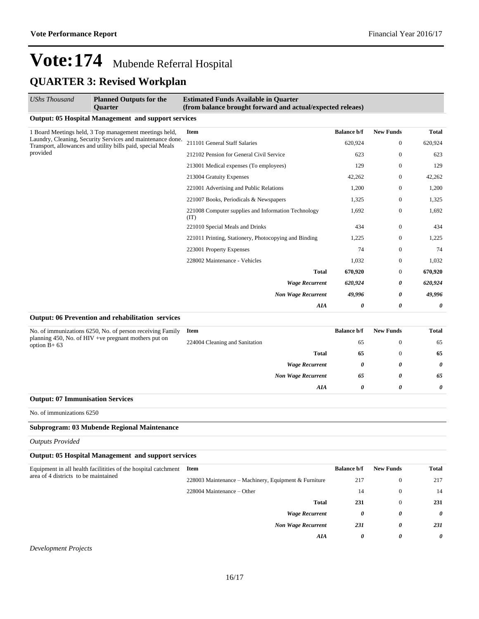*AIA 0 0 0*

## **Vote:174** Mubende Referral Hospital **QUARTER 3: Revised Workplan**

| <b>UShs Thousand</b>                                                                                                                  | <b>Planned Outputs for the</b><br>Quarter                      | <b>Estimated Funds Available in Quarter</b><br>(from balance brought forward and actual/expected releaes) |                    |                  |         |
|---------------------------------------------------------------------------------------------------------------------------------------|----------------------------------------------------------------|-----------------------------------------------------------------------------------------------------------|--------------------|------------------|---------|
|                                                                                                                                       | <b>Output: 05 Hospital Management and support services</b>     |                                                                                                           |                    |                  |         |
| 1 Board Meetings held, 3 Top management meetings held,                                                                                | <b>Item</b>                                                    | <b>Balance b/f</b>                                                                                        | <b>New Funds</b>   | Total            |         |
| Laundry, Cleaning, Security Services and maintenance done.<br>Transport, allowances and utility bills paid, special Meals<br>provided |                                                                | 211101 General Staff Salaries                                                                             | 620,924            | $\boldsymbol{0}$ | 620,924 |
|                                                                                                                                       |                                                                | 212102 Pension for General Civil Service                                                                  | 623                | $\theta$         | 623     |
|                                                                                                                                       |                                                                | 213001 Medical expenses (To employees)                                                                    | 129                | $\boldsymbol{0}$ | 129     |
|                                                                                                                                       | 213004 Gratuity Expenses                                       | 42,262                                                                                                    | $\boldsymbol{0}$   | 42,262           |         |
|                                                                                                                                       | 221001 Advertising and Public Relations                        | 1,200                                                                                                     | $\boldsymbol{0}$   | 1,200            |         |
|                                                                                                                                       |                                                                | 221007 Books, Periodicals & Newspapers                                                                    | 1,325              | $\boldsymbol{0}$ | 1,325   |
|                                                                                                                                       |                                                                | 221008 Computer supplies and Information Technology<br>(TT)                                               | 1,692              | $\mathbf{0}$     | 1,692   |
|                                                                                                                                       |                                                                | 221010 Special Meals and Drinks                                                                           | 434                | $\mathbf{0}$     | 434     |
|                                                                                                                                       |                                                                | 221011 Printing, Stationery, Photocopying and Binding                                                     | 1,225              | $\boldsymbol{0}$ | 1,225   |
|                                                                                                                                       |                                                                | 223001 Property Expenses                                                                                  | 74                 | $\mathbf{0}$     | 74      |
|                                                                                                                                       |                                                                | 228002 Maintenance - Vehicles                                                                             | 1,032              | 0                | 1,032   |
|                                                                                                                                       |                                                                | Total                                                                                                     | 670,920            | $\theta$         | 670,920 |
|                                                                                                                                       |                                                                | <b>Wage Recurrent</b>                                                                                     | 620,924            | 0                | 620,924 |
|                                                                                                                                       | <b>Non Wage Recurrent</b>                                      | 49,996                                                                                                    | 0                  | 49,996           |         |
|                                                                                                                                       |                                                                | AIA                                                                                                       | 0                  | 0                | 0       |
|                                                                                                                                       | Output: 06 Prevention and rehabilitation services              |                                                                                                           |                    |                  |         |
| No. of immunizations 6250, No. of person receiving Family<br>planning 450, No. of HIV +ve pregnant mothers put on<br>option $B+63$    |                                                                | <b>Item</b>                                                                                               | <b>Balance b/f</b> | <b>New Funds</b> | Total   |
|                                                                                                                                       |                                                                | 224004 Cleaning and Sanitation                                                                            | 65                 | $\overline{0}$   | 65      |
|                                                                                                                                       |                                                                | Total                                                                                                     | 65                 | $\mathbf{0}$     | 65      |
|                                                                                                                                       |                                                                | <b>Wage Recurrent</b>                                                                                     | 0                  | 0                | 0       |
|                                                                                                                                       |                                                                | <b>Non Wage Recurrent</b>                                                                                 | 65                 | 0                | 65      |
|                                                                                                                                       |                                                                | AIA                                                                                                       | 0                  | 0                | 0       |
| <b>Output: 07 Immunisation Services</b>                                                                                               |                                                                |                                                                                                           |                    |                  |         |
| No. of immunizations 6250                                                                                                             |                                                                |                                                                                                           |                    |                  |         |
|                                                                                                                                       | Subprogram: 03 Mubende Regional Maintenance                    |                                                                                                           |                    |                  |         |
| <b>Outputs Provided</b>                                                                                                               |                                                                |                                                                                                           |                    |                  |         |
|                                                                                                                                       | <b>Output: 05 Hospital Management and support services</b>     |                                                                                                           |                    |                  |         |
| area of 4 districts to be maintained                                                                                                  | Equipment in all health facilitities of the hospital catchment | Item                                                                                                      | <b>Balance b/f</b> | <b>New Funds</b> | Total   |
|                                                                                                                                       |                                                                | 228003 Maintenance – Machinery, Equipment & Furniture                                                     | 217                | $\boldsymbol{0}$ | 217     |
|                                                                                                                                       |                                                                | 228004 Maintenance – Other                                                                                | 14                 | $\boldsymbol{0}$ | 14      |
|                                                                                                                                       |                                                                | <b>Total</b>                                                                                              | 231                | $\mathbf{0}$     | 231     |
|                                                                                                                                       |                                                                | <b>Wage Recurrent</b>                                                                                     | 0                  | 0                | 0       |
|                                                                                                                                       |                                                                | <b>Non Wage Recurrent</b>                                                                                 | 231                | 0                | 231     |

*Development Projects*